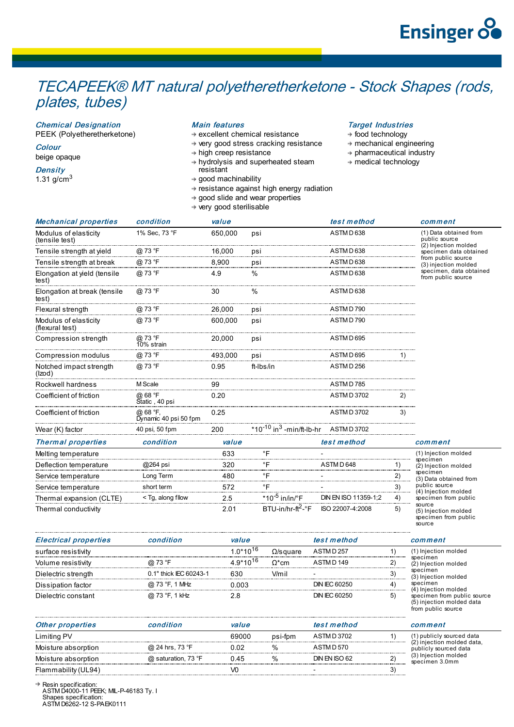## TECAPEEK® MT natural polyetheretherketone - Stock Shapes (rods, plates, tubes)

Chemical Designation

PEEK (Polyetheretherketone)

**Colour** beige opaque

**Density** 1.31 g/cm $3$ 

## Main features

 $\rightarrow$  excellent chemical resistance

- → very good stress cracking resistance
- $\rightarrow$  high creep resistance
- hydrolysis and superheated steam resistant
- $\rightarrow$  good machinability  $\rightarrow$  resistance against high energy radiation
- $\rightarrow$  good slide and wear properties
- very good sterilisable

## Target Industries

- $\rightarrow$  food technology
- $\rightarrow$  mechanical engineering
- $\rightarrow$  pharmaceutical industry

source

medical technology

|                                          |                                   | $\rightarrow$ very good sterm same |                                                  |                      |    |                                                                                                                                                                                          |
|------------------------------------------|-----------------------------------|------------------------------------|--------------------------------------------------|----------------------|----|------------------------------------------------------------------------------------------------------------------------------------------------------------------------------------------|
| <b>Mechanical properties</b>             | condition                         | value                              |                                                  | test method          |    | comment                                                                                                                                                                                  |
| Modulus of elasticity<br>(tensile test)  | 1% Sec, 73 °F                     | 650,000                            | psi                                              | ASTMD638             |    | (1) Data obtained from<br>public source<br>(2) Injection molded<br>specimen data obtained<br>from public source<br>(3) injection molded<br>specimen, data obtained<br>from public source |
| Tensile strength at yield                | @ 73 °F                           | 16.000                             | psi                                              | ASTMD 638            |    |                                                                                                                                                                                          |
| Tensile strength at break                | @ 73 °F                           | 8,900                              | psi                                              | ASTMD638             |    |                                                                                                                                                                                          |
| Elongation at yield (tensile<br>test)    | @ 73 °F                           | 4.9                                | $\%$                                             | ASTMD638             |    |                                                                                                                                                                                          |
| Elongation at break (tensile<br>test)    | @ 73 °F                           | 30                                 | $\%$                                             | ASTMD638             |    |                                                                                                                                                                                          |
| Flexural strength                        | @ 73 °F                           | 26,000                             | psi                                              | ASTMD790             |    |                                                                                                                                                                                          |
| Modulus of elasticity<br>(flexural test) | @ 73 °F                           | 600,000                            | psi                                              | ASTMD 790            |    |                                                                                                                                                                                          |
| Compression strength                     | @ 73 °F<br>10% strain             | 20,000                             | psi                                              | ASTMD695             |    |                                                                                                                                                                                          |
| <b>Compression modulus</b>               | @ 73 °F                           | 493.000                            | psi                                              | ASTMD 695            |    |                                                                                                                                                                                          |
| Notched impact strength<br>(Izod)        | @ 73 °F                           | 0.95                               | ft-Ibs/in                                        | ASTMD 256            |    |                                                                                                                                                                                          |
| Rockwell hardness                        | M Scale                           | 99                                 |                                                  | ASTMD 785            |    |                                                                                                                                                                                          |
| Coefficient of friction                  | @ 68 °F<br>Static, 40 psi         | 0.20                               |                                                  | ASTM D 3702          | 2) |                                                                                                                                                                                          |
| Coefficient of friction                  | @ 68 °F,<br>Dynamic 40 psi 50 fpm | 0.25                               |                                                  | <b>ASTMD3702</b>     | 3) |                                                                                                                                                                                          |
| Wear (K) factor                          | 40 psi, 50 fpm                    | 200                                | *10 <sup>-10</sup> in <sup>3</sup> -min/ft-lb-hr | <b>ASTMD3702</b>     |    |                                                                                                                                                                                          |
| <b>Thermal properties</b>                | condition                         | value                              |                                                  | test method          |    | comment                                                                                                                                                                                  |
| Melting temperature                      |                                   | 633                                | $\circ$ F                                        |                      |    | (1) Injection molded                                                                                                                                                                     |
| Deflection temperature                   | @264 psi                          | 320                                | $\degree$ F                                      | ASTMD 648            | 1) | specimen<br>(2) Injection molded                                                                                                                                                         |
| Service temperature                      | Long Term                         | 480                                | $\circ$ F                                        |                      | 2) | specimen<br>(3) Data obtained from                                                                                                                                                       |
| Service temperature                      | short term                        | 572                                | $\circ$ F                                        |                      | 3) | public source<br>(4) Injection molded                                                                                                                                                    |
| Thermal expansion (CLTE)                 | < Tg, along fllow                 | 2.5                                | *10 $^{-5}$ in/in/°F                             | DIN EN ISO 11359-1;2 | 4) | specimen from public                                                                                                                                                                     |
| Thermal conductivity                     |                                   | 2.01                               | $BTU-in/hr-ft2-°F$                               | ISO 22007-4:2008     | 5) | source<br>(5) Injection molded<br>specimen from public                                                                                                                                   |

Electrical properties condition value test method comment surface resistivity  $1.0*10^{16}$   $\Omega/\text{s}$ quare ASTM D 257 1) (1) Injection molded specimen (2) Injection molded specimen (3) Injection molded specimen (4) Injection molded specimen from public source (5) injection molded data from public source Volume resistivity  $\qquad \qquad @ 73 \text{ }^{\circ} \text{F} \qquad \qquad 4.9^{\star}10^{16} \qquad \Omega^{\star} \text{cm} \qquad \qquad \text{ASTMD 149} \qquad \qquad 2)$ Dielectric strength 0.1" thick IEC 60243-1 630 V/mil - 3) Dissipation factor  $\qquad \qquad @ 73 \text{ °F}, 1 \text{ MHz} \qquad 0.003$  DIN IEC 60250 4) Dielectric constant @ 73 °F, 1 kHz 2.8 DIN IEC 60250 5)  $1.0*10^{16}$  $4.9*10^{16}$ 

| <b>Other properties</b> | condition           | value          |         | test method   |        | comment                                                                                                                    |
|-------------------------|---------------------|----------------|---------|---------------|--------|----------------------------------------------------------------------------------------------------------------------------|
| Limiting PV             |                     | 69000          | psi-fpm | ASTMD 3702    |        | (1) publicly sourced data<br>(2) injection molded data,<br>publicly sourced data<br>(3) Injection molded<br>specimen 3.0mm |
| Moisture absorption     | @ 24 hrs, 73 °F     | 0.02           | $\%$    | ASTMD 570     |        |                                                                                                                            |
| Moisture absorption     | @ saturation, 73 °F | 0.45           | $\%$    | DIN FN ISO 62 | $\sim$ |                                                                                                                            |
| Flammability (UL94)     |                     | V <sub>0</sub> |         |               |        |                                                                                                                            |

Resin specification: ASTM D4000-11 PEEK; MIL-P-46183 Ty. I Shapes specification: ASTM D6262-12 S-PAEK0111